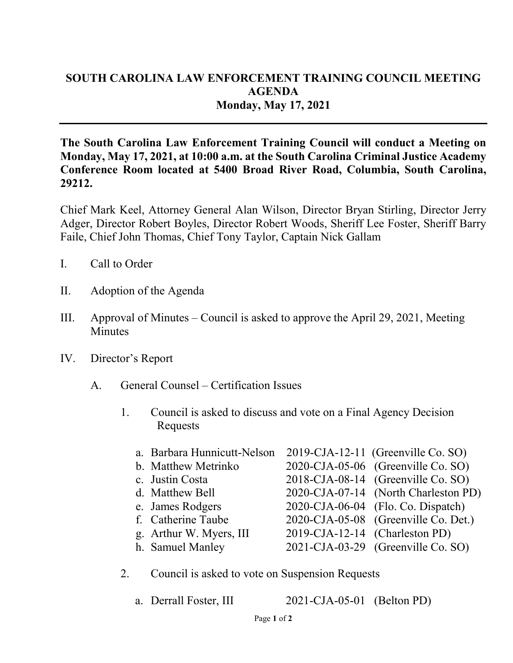## **SOUTH CAROLINA LAW ENFORCEMENT TRAINING COUNCIL MEETING AGENDA Monday, May 17, 2021**

**The South Carolina Law Enforcement Training Council will conduct a Meeting on Monday, May 17, 2021, at 10:00 a.m. at the South Carolina Criminal Justice Academy Conference Room located at 5400 Broad River Road, Columbia, South Carolina, 29212.** 

Chief Mark Keel, Attorney General Alan Wilson, Director Bryan Stirling, Director Jerry Adger, Director Robert Boyles, Director Robert Woods, Sheriff Lee Foster, Sheriff Barry Faile, Chief John Thomas, Chief Tony Taylor, Captain Nick Gallam

- I. Call to Order
- II. Adoption of the Agenda
- III. Approval of Minutes Council is asked to approve the April 29, 2021, Meeting **Minutes**
- IV. Director's Report
	- A. General Counsel Certification Issues
		- 1. Council is asked to discuss and vote on a Final Agency Decision Requests

| a. Barbara Hunnicutt-Nelson 2019-CJA-12-11 (Greenville Co. SO) |                                |                                       |
|----------------------------------------------------------------|--------------------------------|---------------------------------------|
| b. Matthew Metrinko                                            |                                | 2020-CJA-05-06 (Greenville Co. SO)    |
| c. Justin Costa                                                |                                | 2018-CJA-08-14 (Greenville Co. SO)    |
| d. Matthew Bell                                                |                                | 2020-CJA-07-14 (North Charleston PD)  |
| e. James Rodgers                                               |                                | $2020$ -CJA-06-04 (Flo. Co. Dispatch) |
| f. Catherine Taube                                             |                                | 2020-CJA-05-08 (Greenville Co. Det.)  |
| g. Arthur W. Myers, III                                        | 2019-CJA-12-14 (Charleston PD) |                                       |
| h. Samuel Manley                                               |                                | 2021-CJA-03-29 (Greenville Co. SO)    |
|                                                                |                                |                                       |

- 2. Council is asked to vote on Suspension Requests
	- a. Derrall Foster, III 2021-CJA-05-01 (Belton PD)